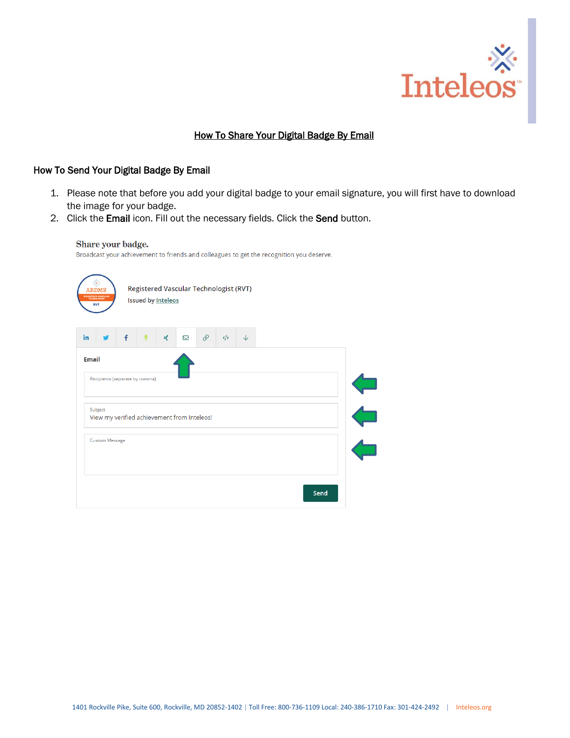

# How To Share Your Digital Badge By Email

## How To Send Your Digital Badge By Email

Share your badge.

- 1. Please note that before you add your digital badge to your email signature, you will first have to download the image for your badge.
- 2. Click the Email icon. Fill out the necessary fields. Click the Send button.

| Broadcast your achievement to friends and colleagues to get the recognition you deserve. |  |
|------------------------------------------------------------------------------------------|--|
|                                                                                          |  |
|                                                                                          |  |
|                                                                                          |  |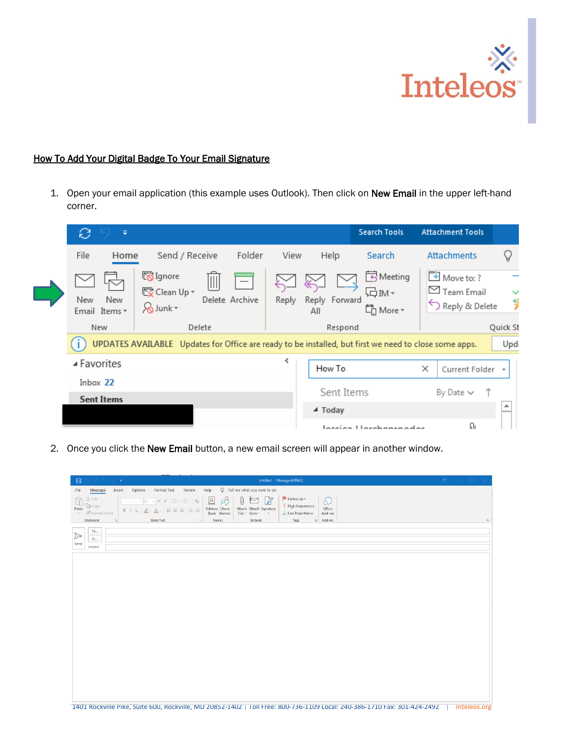

## How To Add Your Digital Badge To Your Email Signature

I

1. Open your email application (this example uses Outlook). Then click on New Email in the upper left-hand corner.

| e<br>٠                      |                                                                                                                                  |                |                            | <b>Search Tools</b>         | <b>Attachment Tools</b>                                     |                          |
|-----------------------------|----------------------------------------------------------------------------------------------------------------------------------|----------------|----------------------------|-----------------------------|-------------------------------------------------------------|--------------------------|
| File<br>Home                | Send / Receive                                                                                                                   | Folder<br>View | Help                       | Search                      | <b>Attachments</b>                                          | V                        |
| New<br>New<br>Email Items * | <b>K</b> Ignore<br>IIII<br>$\overline{\mathbb{F}_{\mathbb{X}}}$ Clean Up $\overline{\phantom{a}}$<br>Delete Archive<br>So Junk * | Reply          | Reply Forward<br>All       | Meeting<br>局™-<br>【n More - | Move to: ?<br>$\triangleright$ Team Email<br>Reply & Delete | $\checkmark$<br>岁        |
| New                         | Delete                                                                                                                           |                | Respond                    |                             |                                                             | Quick St                 |
|                             | UPDATES AVAILABLE Updates for Office are ready to be installed, but first we need to close some apps.                            |                |                            |                             |                                                             | Upd.                     |
| ▲ Favorites                 |                                                                                                                                  |                | How To                     |                             | $\times$<br>Current Folder                                  | $\overline{\phantom{a}}$ |
| Inbox 22                    |                                                                                                                                  |                |                            |                             |                                                             |                          |
| <b>Sent Items</b>           |                                                                                                                                  |                | Sent Items                 |                             | $\uparrow$<br>By Date $\vee$                                |                          |
|                             |                                                                                                                                  |                | $\blacktriangleleft$ Today |                             |                                                             | ┻                        |
|                             |                                                                                                                                  |                |                            | Incoida Horekonroador       | Ωı                                                          |                          |

2. Once you click the New Email button, a new email screen will appear in another window.

| $\boxplus$<br>$\alpha$ e $\gamma$ e $\alpha$<br>Untitled - Message (HTML)                                                                                                                                                                                                                                                                                                                                                                                                                                                                                                                                                                                                                                                                                                               | $\begin{array}{ccccccccccccccl} \boxtimes & & & - & & \square & & \times \end{array}$ |
|-----------------------------------------------------------------------------------------------------------------------------------------------------------------------------------------------------------------------------------------------------------------------------------------------------------------------------------------------------------------------------------------------------------------------------------------------------------------------------------------------------------------------------------------------------------------------------------------------------------------------------------------------------------------------------------------------------------------------------------------------------------------------------------------|---------------------------------------------------------------------------------------|
| Q Tell me what you want to do<br>Options<br>Format Text<br>Review<br>Help<br>File<br>Insert<br>Message                                                                                                                                                                                                                                                                                                                                                                                                                                                                                                                                                                                                                                                                                  |                                                                                       |
| Follow Up +<br>$\trianglerighteq$<br>X Cut<br>$\emptyset$<br>8 <sup>0</sup><br>$\mathbb{Z}$<br>Ĥ<br>$\boxtimes$<br>5<br>$\overline{\ \cdot \ ]11 \quad \  \  \, \overline{\ \cdot \ }}\ \ \overline{A}^{\circ}\ \ \overline{A}^{\circ}\ \ \Big  \ \overline{\vdots} \ \ \overline{\vdots} \ \ \overline{\vdots} \ \ \overline{\vdots}\ \ \overline{\phantom{A}}\ \ \overline{\phantom{A}}\ \overline{\phantom{A}}\ \overline{\phantom{A}}$<br>High Importance<br>LA Copy<br>Office<br>Paste<br>Address Check<br>Attach Attach Signature<br>$B$ $I$ $\underline{\cup}$ $\underline{\angle}$ $\cdot$ $\underline{A}$ $\cdot$ $\equiv$<br>동물 표현<br>$\bullet$ $\blacktriangleright$ Format Painter<br>File * Item *<br>Book Names<br>$\downarrow$ Low Importance<br>Add-ins<br>$\mathbf{v}$ |                                                                                       |
| Clipboard<br>5 Add-ins<br>$\mathbb{R}$<br><b>Basic Text</b><br>Names<br>Include<br>Tags<br>51                                                                                                                                                                                                                                                                                                                                                                                                                                                                                                                                                                                                                                                                                           | $\boldsymbol{\wedge}$                                                                 |
| $\mathsf{To} \dots$<br>$\triangleright$<br>Cc<br>Send<br>Subject                                                                                                                                                                                                                                                                                                                                                                                                                                                                                                                                                                                                                                                                                                                        |                                                                                       |
|                                                                                                                                                                                                                                                                                                                                                                                                                                                                                                                                                                                                                                                                                                                                                                                         |                                                                                       |
|                                                                                                                                                                                                                                                                                                                                                                                                                                                                                                                                                                                                                                                                                                                                                                                         |                                                                                       |
|                                                                                                                                                                                                                                                                                                                                                                                                                                                                                                                                                                                                                                                                                                                                                                                         |                                                                                       |
|                                                                                                                                                                                                                                                                                                                                                                                                                                                                                                                                                                                                                                                                                                                                                                                         |                                                                                       |
|                                                                                                                                                                                                                                                                                                                                                                                                                                                                                                                                                                                                                                                                                                                                                                                         |                                                                                       |
|                                                                                                                                                                                                                                                                                                                                                                                                                                                                                                                                                                                                                                                                                                                                                                                         |                                                                                       |
|                                                                                                                                                                                                                                                                                                                                                                                                                                                                                                                                                                                                                                                                                                                                                                                         |                                                                                       |
|                                                                                                                                                                                                                                                                                                                                                                                                                                                                                                                                                                                                                                                                                                                                                                                         |                                                                                       |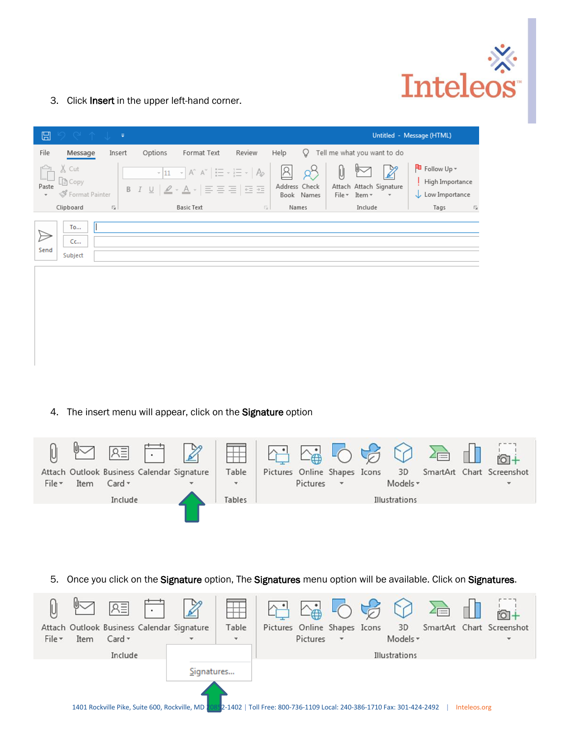

3. Click Insert in the upper left-hand corner.

| ⊞                                 | タピィしゃ                              |                         |         |                                                                                                                                                                                       |                         |                     |                  |                                                    |                        | Untitled - Message (HTML)                                                                        |
|-----------------------------------|------------------------------------|-------------------------|---------|---------------------------------------------------------------------------------------------------------------------------------------------------------------------------------------|-------------------------|---------------------|------------------|----------------------------------------------------|------------------------|--------------------------------------------------------------------------------------------------|
| File                              | Message                            | Insert                  | Options | Format Text                                                                                                                                                                           | Review                  | Help                | v                | Tell me what you want to do                        |                        |                                                                                                  |
| Paste<br>$\overline{\phantom{a}}$ | X Cut<br>[@ Copy<br>Format Painter |                         |         | $\mathbf{r}$ 11 $\mathbf{r}$ A A $\mathbf{A}$ $\mathbf{r}$ $\mathbf{r}$ = $\mathbf{r}$ $\mathbf{r}$ = $\mathbf{r}$ $\mathbf{r}$<br>B <i>I</i> U   <u>Ø</u> ∗ <u>A</u> ∗   를 를 틀   로 표 |                         | A <br>Address Check | 68<br>Book Names | ⊮<br>U<br>Attach Attach Signature<br>File * Item * | $\mathbb{Z}$<br>$\sim$ | $\overline{\phantom{a}}$ Follow Up $\overline{\phantom{a}}$<br>High Importance<br>Low Importance |
|                                   | Clipboard                          | $\overline{\mathrm{D}}$ |         | <b>Basic Text</b>                                                                                                                                                                     | $\overline{\mathbb{R}}$ |                     | Names            | Include                                            |                        | Tags<br>$\overline{\Gamma_{20}}$                                                                 |
| Send                              | To<br>Cc<br>Subject                |                         |         |                                                                                                                                                                                       |                         |                     |                  |                                                    |                        |                                                                                                  |

4. The insert menu will appear, click on the Signature option



5. Once you click on the Signature option, The Signatures menu option will be available. Click on Signatures.

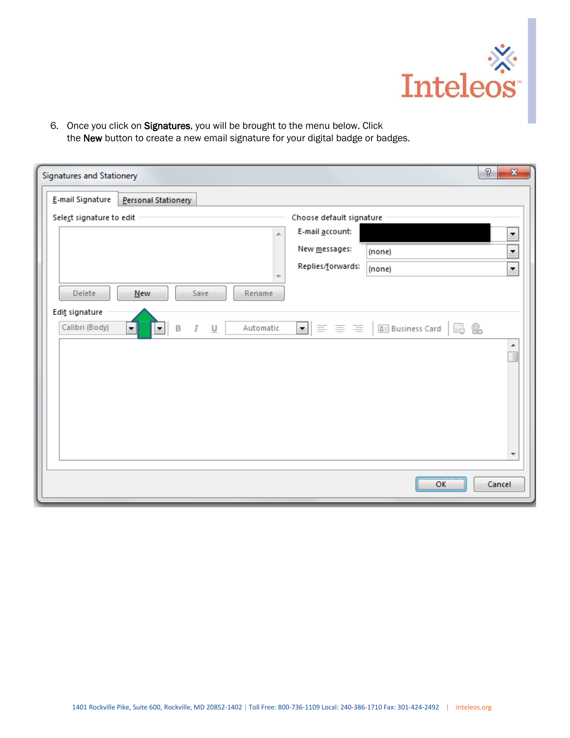

6. Once you click on Signatures, you will be brought to the menu below. Click the New button to create a new email signature for your digital badge or badges.

| E-mail Signature                 | Personal Stationery    |                      |           |                                                                      |                                  |                      |
|----------------------------------|------------------------|----------------------|-----------|----------------------------------------------------------------------|----------------------------------|----------------------|
| Select signature to edit         |                        |                      |           | Choose default signature                                             |                                  |                      |
|                                  |                        |                      | A.        | E-mail account:                                                      |                                  | ۰                    |
|                                  |                        |                      |           | New messages:                                                        | (none)                           | ۰                    |
|                                  |                        |                      |           | Replies/forwards:                                                    | (none)                           | $\blacktriangledown$ |
| Delete                           | <b>New</b>             | Save                 | Rename    |                                                                      |                                  |                      |
| Edit signature<br>Calibri (Body) | $\mathsf B$<br>ᆌ<br>Iш | $\cal I$<br>$\sqcup$ | Automatic | $\blacksquare$ $\blacksquare$ $\equiv$ $\equiv$ $\equiv$ $\parallel$ | ê.<br><b>&amp; Business Card</b> | \$                   |
|                                  |                        |                      |           |                                                                      |                                  | ┻                    |
|                                  |                        |                      |           |                                                                      |                                  |                      |
|                                  |                        |                      |           |                                                                      |                                  |                      |
|                                  |                        |                      |           |                                                                      |                                  |                      |
|                                  |                        |                      |           |                                                                      |                                  |                      |
|                                  |                        |                      |           |                                                                      |                                  |                      |
|                                  |                        |                      |           |                                                                      |                                  | ÷                    |
|                                  |                        |                      |           |                                                                      | <br>OK                           | Cancel               |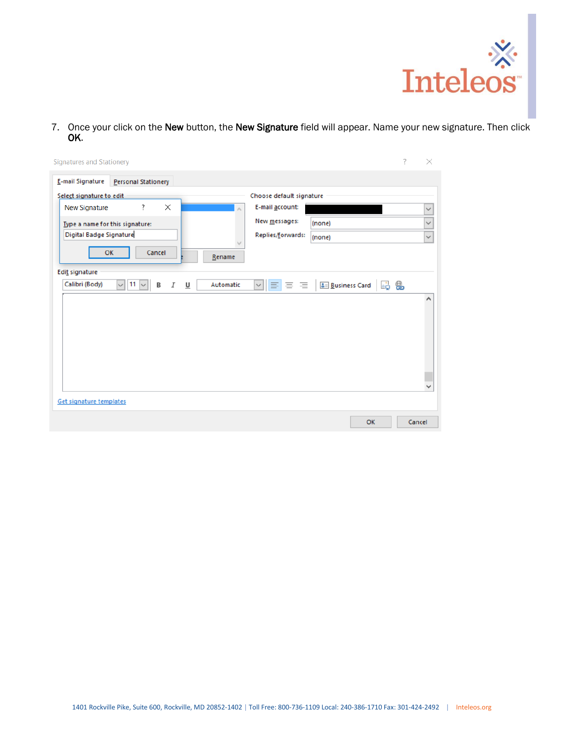

7. Once your click on the New button, the New Signature field will appear. Name your new signature. Then click OK.

| <b>Signatures and Stationery</b>                                                                                                                                            |    | 7 | ×                            |
|-----------------------------------------------------------------------------------------------------------------------------------------------------------------------------|----|---|------------------------------|
| E-mail Signature<br><b>Personal Stationery</b>                                                                                                                              |    |   |                              |
| Choose default signature<br>Select signature to edit                                                                                                                        |    |   |                              |
| $\times$<br>?<br>E-mail account:<br>New Signature<br>New messages:<br>(none)<br>Type a name for this signature:                                                             |    |   | $\checkmark$<br>$\checkmark$ |
| Digital Badge Signature<br>Replies/forwards:<br>(none)                                                                                                                      |    |   | $\checkmark$                 |
| OK<br>Cancel<br>Rename                                                                                                                                                      |    |   |                              |
| Edit signature                                                                                                                                                              |    |   |                              |
| Calibri (Body)<br>3 Business Card 금 &<br>11<br>Automatic<br>$\vee$ $\equiv$ $\equiv$ $\equiv$ $\perp$<br>В<br>Ι<br>$\underline{\mathsf{u}}$<br>$\checkmark$<br>$\checkmark$ |    |   | ۸                            |
|                                                                                                                                                                             |    |   |                              |
|                                                                                                                                                                             |    |   |                              |
|                                                                                                                                                                             |    |   |                              |
|                                                                                                                                                                             |    |   |                              |
|                                                                                                                                                                             |    |   | v                            |
| Get signature templates                                                                                                                                                     |    |   |                              |
|                                                                                                                                                                             | OK |   | Cancel                       |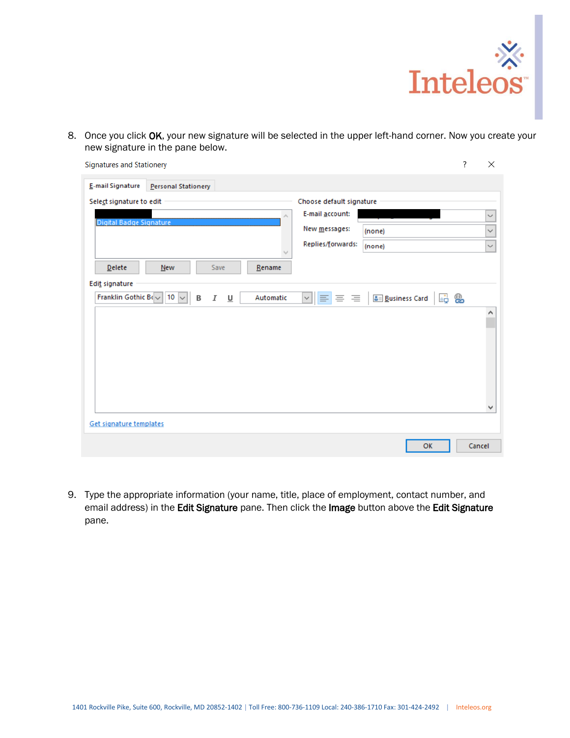

8. Once you click OK, your new signature will be selected in the upper left-hand corner. Now you create your new signature in the pane below.

| <b>Signatures and Stationery</b>                                                                                                                                               | ? | $\times$     |
|--------------------------------------------------------------------------------------------------------------------------------------------------------------------------------|---|--------------|
| E-mail Signature<br><b>Personal Stationery</b>                                                                                                                                 |   |              |
| Select signature to edit<br>Choose default signature                                                                                                                           |   |              |
| E-mail account:<br>$\rho_{\rm{b}}$<br>Digital Badge Signature                                                                                                                  |   | $\checkmark$ |
| New messages:<br>(none)                                                                                                                                                        |   | $\checkmark$ |
| Replies/forwards:<br>(none)                                                                                                                                                    |   | $\checkmark$ |
| <b>Delete</b><br><b>New</b><br>Save<br>Rename                                                                                                                                  |   |              |
| Edit signature                                                                                                                                                                 |   |              |
| Franklin Gothic Bo $\sim$ 10 $\sim$<br>$\vee$ $\equiv$ $\equiv$ $\equiv$ $\Box$<br><b>&amp;</b> Business Card<br>品 急<br>Automatic<br>$\cal I$<br>B<br>$\underline{\mathsf{u}}$ |   |              |
|                                                                                                                                                                                |   | ۸            |
|                                                                                                                                                                                |   |              |
|                                                                                                                                                                                |   |              |
|                                                                                                                                                                                |   |              |
|                                                                                                                                                                                |   |              |
|                                                                                                                                                                                |   | $\checkmark$ |
| Get signature templates                                                                                                                                                        |   |              |
| OK                                                                                                                                                                             |   | Cancel       |

9. Type the appropriate information (your name, title, place of employment, contact number, and email address) in the Edit Signature pane. Then click the Image button above the Edit Signature pane.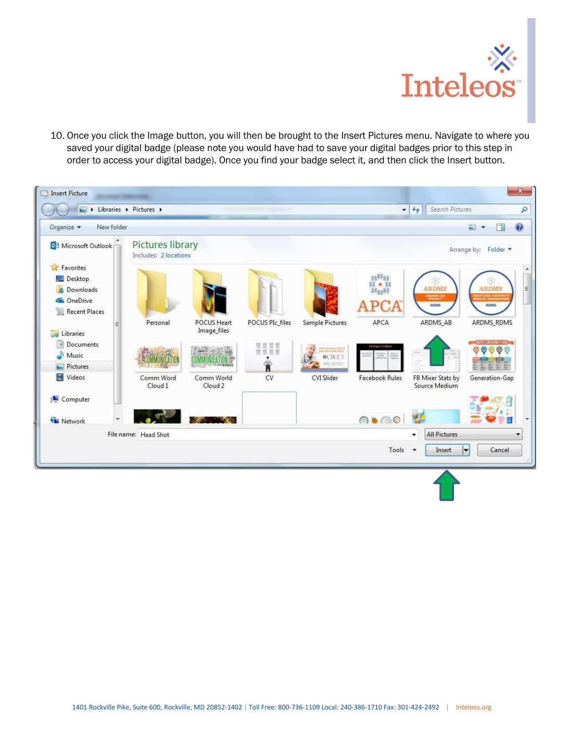

10. Once you click the Image button, you will then be brought to the Insert Pictures menu. Navigate to where you saved your digital badge (please note you would have had to save your digital badges prior to this step in order to access your digital badge). Once you find your badge select it, and then click the Insert button.

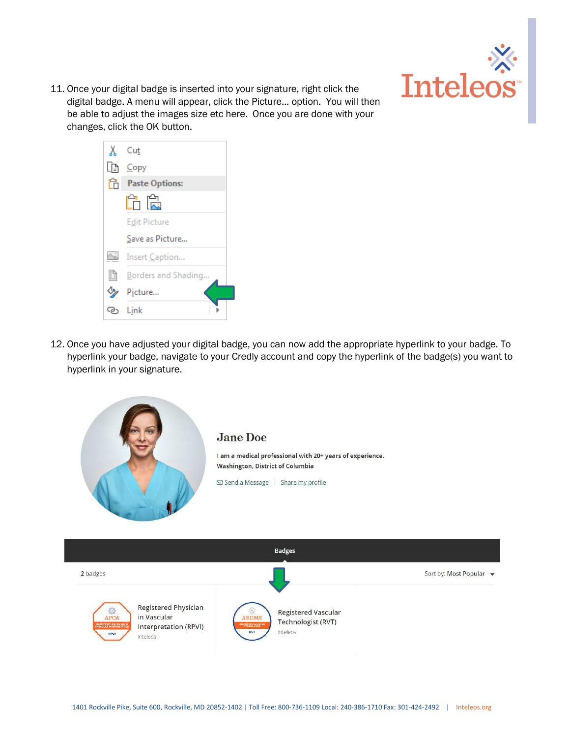

11. Once your digital badge is inserted into your signature, right click the digital badge. A menu will appear, click the Picture... option. You will then be able to adjust the images size etc here. Once you are done with your changes, click the OK button.



12. Once you have adjusted your digital badge, you can now add the appropriate hyperlink to your badge. To hyperlink your badge, navigate to your Credly account and copy the hyperlink of the badge(s) you want to hyperlink in your signature.

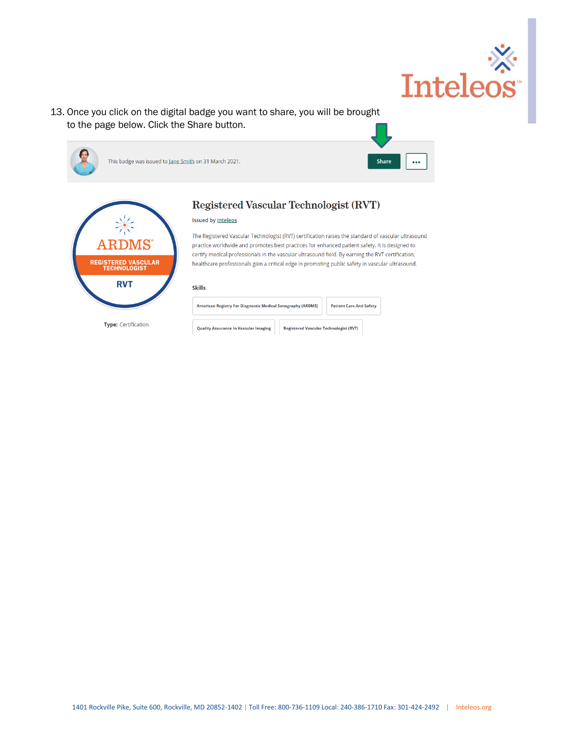

13. Once you click on the digital badge you want to share, you will be brought to the page below. Click the Share button.







**Type:** Certification

# Registered Vascular Technologist (RVT)

## **Issued by Inteleos**

The Registered Vascular Technologist (RVT) certification raises the standard of vascular ultrasound practice worldwide and promotes best practices for enhanced patient safety. It is designed to certify medical professionals in the vascular ultrasound field. By earning the RVT certification, healthcare professionals gain a critical edge in promoting public safety in vascular ultrasound.

#### **Skills**

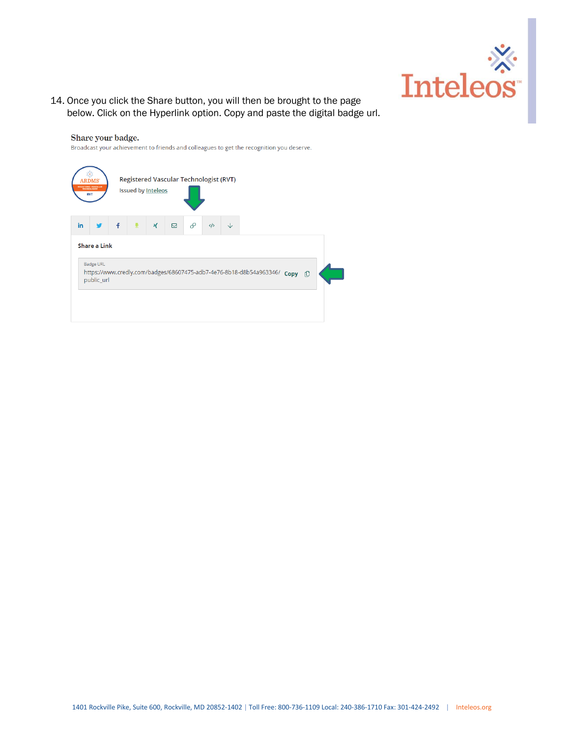

14. Once you click the Share button, you will then be brought to the page below. Click on the Hyperlink option. Copy and paste the digital badge url.

## Share your badge.

Broadcast your achievement to friends and colleagues to get the recognition you deserve.

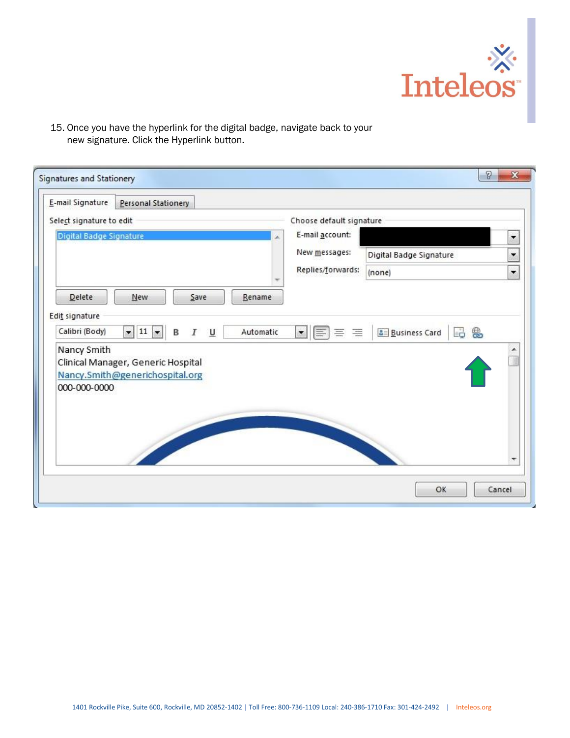

15. Once you have the hyperlink for the digital badge, navigate back to your new signature. Click the Hyperlink button.

| E-mail Signature<br>Personal Stationery                 |           |                                            |                                   |                          |
|---------------------------------------------------------|-----------|--------------------------------------------|-----------------------------------|--------------------------|
| Select signature to edit                                |           | Choose default signature                   |                                   |                          |
| Digital Badge Signature                                 |           | E-mail account:                            |                                   | ▼                        |
|                                                         |           | New messages:                              | Digital Badge Signature           | $\overline{\phantom{0}}$ |
|                                                         |           | Replies/forwards:                          | (none)                            | $\overline{\phantom{a}}$ |
| Delete<br>New<br>Save                                   | Rename    |                                            |                                   |                          |
| Edit signature                                          |           |                                            |                                   |                          |
| $\bullet$ 11 $\bullet$<br>Calibri (Body)<br>B<br>Ι<br>U | Automatic | $\blacktriangledown$<br>巨<br>三<br>$\equiv$ | □ 急<br><b>&amp;</b> Business Card |                          |
|                                                         |           |                                            |                                   |                          |
| Nancy Smith<br>Clinical Manager, Generic Hospital       |           |                                            |                                   |                          |
| Nancy.Smith@generichospital.org<br>000-000-0000         |           |                                            |                                   |                          |
|                                                         |           |                                            |                                   |                          |
|                                                         |           |                                            |                                   |                          |
|                                                         |           |                                            |                                   |                          |
|                                                         |           |                                            |                                   |                          |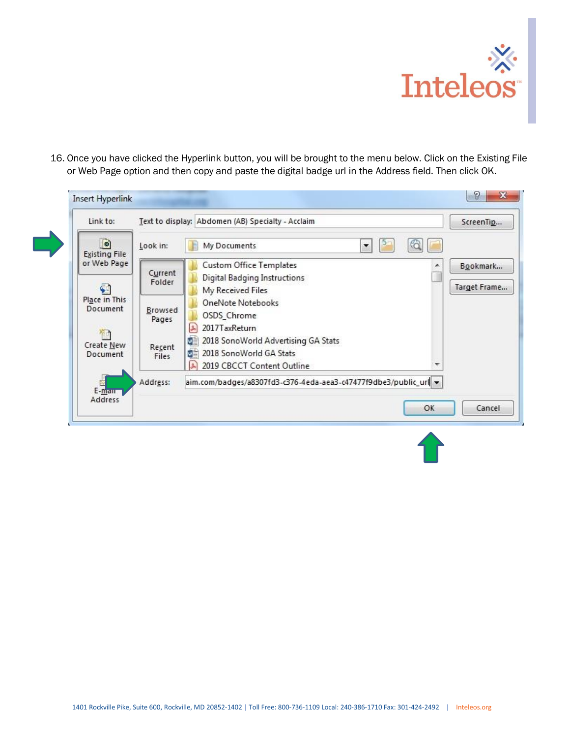

16. Once you have clicked the Hyperlink button, you will be brought to the menu below. Click on the Existing File or Web Page option and then copy and paste the digital badge url in the Address field. Then click OK.

| $\bullet$<br><b>Existing File</b> | Look in:          | My Documents<br>$\overline{\phantom{a}}$                                                                       |              |
|-----------------------------------|-------------------|----------------------------------------------------------------------------------------------------------------|--------------|
| or Web Page                       |                   | <b>Custom Office Templates</b>                                                                                 | Bookmark     |
|                                   | Current<br>Folder | Digital Badging Instructions                                                                                   |              |
|                                   |                   | My Received Files                                                                                              | Target Frame |
| Place in This<br>Document         | Browsed           | OneNote Notebooks                                                                                              |              |
|                                   | Pages             | OSDS_Chrome                                                                                                    |              |
|                                   |                   | $\frac{2}{36}$<br>2017TaxReturn                                                                                |              |
| Create New                        | Recent            | 뻍<br>2018 SonoWorld Advertising GA Stats                                                                       |              |
| Document                          | Files             | ₩Ė<br>2018 SonoWorld GA Stats                                                                                  |              |
|                                   | Address:          | $\mathbb{R}$<br>2019 CBCCT Content Outline<br>aim.com/badges/a8307fd3-c376-4eda-aea3-c47477f9dbe3/public_url - |              |
| $E$ -man                          |                   |                                                                                                                |              |